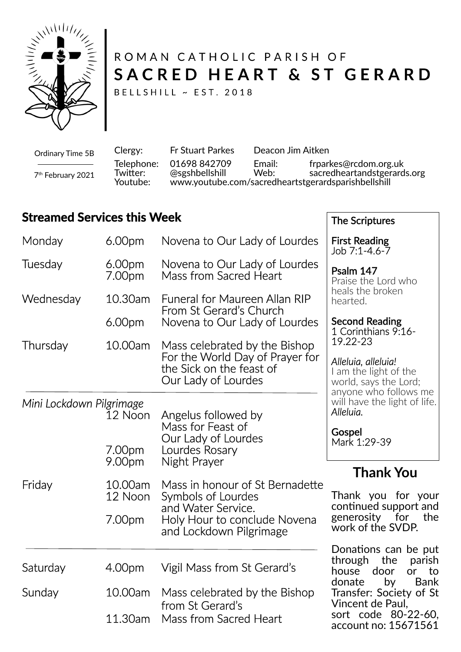

# ROMAN CATHOLIC PARISH OF SACRED HEART & ST GERARD

The Scriptures

BELLSHILL ~ EST. 2018

Clergy: Fr Stuart Parkes Deacon Jim Aitken Telephone: 01698 842709 Email: frparkes@rcdom.org.uk Twitter: @sgshbellshill Web: sacredheartandstgerards.org<br>Youtube: www.youtube.com/sacredheartstgerardsparishbellshill Youtube: www.youtube.com/sacredheartstgerardsparishbellshill Ordinary Time 5B 7 th February 2021

## **Streamed Services this Week**

| Monday                   | 6.00pm                        | Novena to Our Lady of Lourdes                                                                                                          | <b>First Reading</b><br>Job 7:1-4.6-7                                                                                     |
|--------------------------|-------------------------------|----------------------------------------------------------------------------------------------------------------------------------------|---------------------------------------------------------------------------------------------------------------------------|
| Tuesday                  | 6.00 <sub>pm</sub><br>7.00pm  | Novena to Our Lady of Lourdes<br>Mass from Sacred Heart                                                                                | Psalm 147<br>Praise the Lord who                                                                                          |
| Wednesday                | 10.30am<br>6.00 <sub>pm</sub> | <b>Funeral for Maureen Allan RIP</b><br>From St Gerard's Church<br>Novena to Our Lady of Lourdes                                       | heals the broken<br>hearted.<br><b>Second Reading</b>                                                                     |
| Thursday                 | 10.00am                       | Mass celebrated by the Bishop<br>For the World Day of Prayer for<br>the Sick on the feast of<br>Our Lady of Lourdes                    | 1 Corinthians 9:16-<br>19.22-23<br>Alleluia, alleluia!<br>I am the light of the<br>world, says the Lord;                  |
| Mini Lockdown Pilgrimage | 12 Noon<br>7.00pm<br>9.00pm   | Angelus followed by<br>Mass for Feast of<br>Our Lady of Lourdes<br>Lourdes Rosary<br>Night Prayer                                      | anyone who follows me<br>will have the light of life.<br>Alleluia.<br>Gospel<br>Mark 1:29-39                              |
| Friday                   | 10.00am<br>12 Noon<br>7.00pm  | Mass in honour of St Bernadette<br>Symbols of Lourdes<br>and Water Service.<br>Holy Hour to conclude Novena<br>and Lockdown Pilgrimage | <b>Thank You</b><br>Thank you for your<br>continued support and<br>generosity for<br>the<br>work of the SVDP.             |
| Saturday                 | 4.00pm                        | Vigil Mass from St Gerard's                                                                                                            | Donations can be put<br>the<br>through<br>parish<br>house<br>door<br><b>or</b><br>to                                      |
| Sunday                   | 10.00am<br>11.30am            | Mass celebrated by the Bishop<br>from St Gerard's<br>Mass from Sacred Heart                                                            | <b>Bank</b><br>by<br>donate<br>Transfer: Society of St<br>Vincent de Paul,<br>sort code 80-22-60,<br>account no: 15671561 |